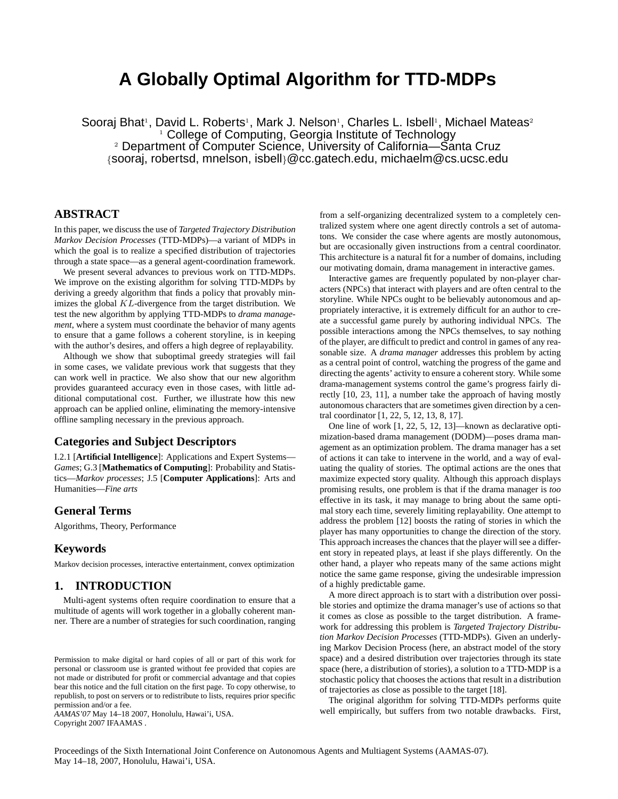# **A Globally Optimal Algorithm for TTD-MDPs**

Sooraj Bhat<sup>1</sup>, David L. Roberts<sup>1</sup>, Mark J. Nelson<sup>1</sup>, Charles L. Isbell<sup>1</sup>, Michael Mateas<sup>2</sup> <sup>1</sup> College of Computing, Georgia Institute of Technology <sup>2</sup> Department of Computer Science, University of California—Santa Cruz {sooraj, robertsd, mnelson, isbell}@cc.gatech.edu, michaelm@cs.ucsc.edu

# **ABSTRACT**

In this paper, we discuss the use of *Targeted Trajectory Distribution Markov Decision Processes* (TTD-MDPs)—a variant of MDPs in which the goal is to realize a specified distribution of trajectories through a state space—as a general agent-coordination framework.

We present several advances to previous work on TTD-MDPs. We improve on the existing algorithm for solving TTD-MDPs by deriving a greedy algorithm that finds a policy that provably minimizes the global KL-divergence from the target distribution. We test the new algorithm by applying TTD-MDPs to *drama management*, where a system must coordinate the behavior of many agents to ensure that a game follows a coherent storyline, is in keeping with the author's desires, and offers a high degree of replayability.

Although we show that suboptimal greedy strategies will fail in some cases, we validate previous work that suggests that they can work well in practice. We also show that our new algorithm provides guaranteed accuracy even in those cases, with little additional computational cost. Further, we illustrate how this new approach can be applied online, eliminating the memory-intensive offline sampling necessary in the previous approach.

### **Categories and Subject Descriptors**

I.2.1 [**Artificial Intelligence**]: Applications and Expert Systems— *Games*; G.3 [**Mathematics of Computing**]: Probability and Statistics—*Markov processes*; J.5 [**Computer Applications**]: Arts and Humanities—*Fine arts*

# **General Terms**

Algorithms, Theory, Performance

# **Keywords**

Markov decision processes, interactive entertainment, convex optimization

# **1. INTRODUCTION**

Multi-agent systems often require coordination to ensure that a multitude of agents will work together in a globally coherent manner. There are a number of strategies for such coordination, ranging

*AAMAS'07* May 14–18 2007, Honolulu, Hawai'i, USA. Copyright 2007 IFAAMAS .

from a self-organizing decentralized system to a completely centralized system where one agent directly controls a set of automatons. We consider the case where agents are mostly autonomous, but are occasionally given instructions from a central coordinator. This architecture is a natural fit for a number of domains, including our motivating domain, drama management in interactive games.

Interactive games are frequently populated by non-player characters (NPCs) that interact with players and are often central to the storyline. While NPCs ought to be believably autonomous and appropriately interactive, it is extremely difficult for an author to create a successful game purely by authoring individual NPCs. The possible interactions among the NPCs themselves, to say nothing of the player, are difficult to predict and control in games of any reasonable size. A *drama manager* addresses this problem by acting as a central point of control, watching the progress of the game and directing the agents' activity to ensure a coherent story. While some drama-management systems control the game's progress fairly directly [10, 23, 11], a number take the approach of having mostly autonomous characters that are sometimes given direction by a central coordinator [1, 22, 5, 12, 13, 8, 17].

One line of work [1, 22, 5, 12, 13]—known as declarative optimization-based drama management (DODM)—poses drama management as an optimization problem. The drama manager has a set of actions it can take to intervene in the world, and a way of evaluating the quality of stories. The optimal actions are the ones that maximize expected story quality. Although this approach displays promising results, one problem is that if the drama manager is *too* effective in its task, it may manage to bring about the same optimal story each time, severely limiting replayability. One attempt to address the problem [12] boosts the rating of stories in which the player has many opportunities to change the direction of the story. This approach increases the chances that the player will see a different story in repeated plays, at least if she plays differently. On the other hand, a player who repeats many of the same actions might notice the same game response, giving the undesirable impression of a highly predictable game.

A more direct approach is to start with a distribution over possible stories and optimize the drama manager's use of actions so that it comes as close as possible to the target distribution. A framework for addressing this problem is *Targeted Trajectory Distribution Markov Decision Processes* (TTD-MDPs). Given an underlying Markov Decision Process (here, an abstract model of the story space) and a desired distribution over trajectories through its state space (here, a distribution of stories), a solution to a TTD-MDP is a stochastic policy that chooses the actions that result in a distribution of trajectories as close as possible to the target [18].

The original algorithm for solving TTD-MDPs performs quite well empirically, but suffers from two notable drawbacks. First,

Permission to make digital or hard copies of all or part of this work for personal or classroom use is granted without fee provided that copies are not made or distributed for profit or commercial advantage and that copies bear this notice and the full citation on the first page. To copy otherwise, to republish, to post on servers or to redistribute to lists, requires prior specific permission and/or a fee.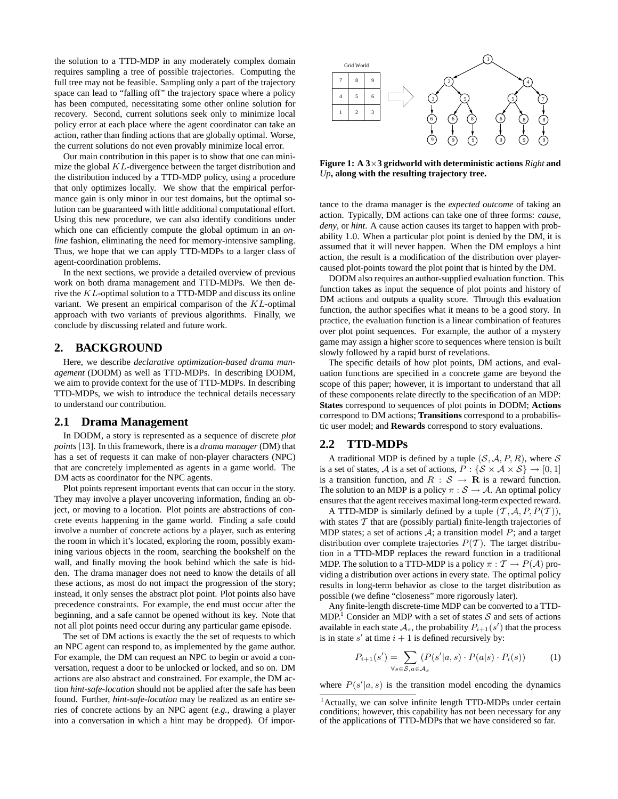the solution to a TTD-MDP in any moderately complex domain requires sampling a tree of possible trajectories. Computing the full tree may not be feasible. Sampling only a part of the trajectory space can lead to "falling off" the trajectory space where a policy has been computed, necessitating some other online solution for recovery. Second, current solutions seek only to minimize local policy error at each place where the agent coordinator can take an action, rather than finding actions that are globally optimal. Worse, the current solutions do not even provably minimize local error.

Our main contribution in this paper is to show that one can minimize the global  $KL$ -divergence between the target distribution and the distribution induced by a TTD-MDP policy, using a procedure that only optimizes locally. We show that the empirical performance gain is only minor in our test domains, but the optimal solution can be guaranteed with little additional computational effort. Using this new procedure, we can also identify conditions under which one can efficiently compute the global optimum in an *online* fashion, eliminating the need for memory-intensive sampling. Thus, we hope that we can apply TTD-MDPs to a larger class of agent-coordination problems.

In the next sections, we provide a detailed overview of previous work on both drama management and TTD-MDPs. We then derive the KL-optimal solution to a TTD-MDP and discuss its online variant. We present an empirical comparison of the KL-optimal approach with two variants of previous algorithms. Finally, we conclude by discussing related and future work.

### **2. BACKGROUND**

Here, we describe *declarative optimization-based drama management* (DODM) as well as TTD-MDPs. In describing DODM, we aim to provide context for the use of TTD-MDPs. In describing TTD-MDPs, we wish to introduce the technical details necessary to understand our contribution.

### **2.1 Drama Management**

In DODM, a story is represented as a sequence of discrete *plot points* [13]. In this framework, there is a *drama manager* (DM) that has a set of requests it can make of non-player characters (NPC) that are concretely implemented as agents in a game world. The DM acts as coordinator for the NPC agents.

Plot points represent important events that can occur in the story. They may involve a player uncovering information, finding an object, or moving to a location. Plot points are abstractions of concrete events happening in the game world. Finding a safe could involve a number of concrete actions by a player, such as entering the room in which it's located, exploring the room, possibly examining various objects in the room, searching the bookshelf on the wall, and finally moving the book behind which the safe is hidden. The drama manager does not need to know the details of all these actions, as most do not impact the progression of the story; instead, it only senses the abstract plot point. Plot points also have precedence constraints. For example, the end must occur after the beginning, and a safe cannot be opened without its key. Note that not all plot points need occur during any particular game episode.

The set of DM actions is exactly the the set of requests to which an NPC agent can respond to, as implemented by the game author. For example, the DM can request an NPC to begin or avoid a conversation, request a door to be unlocked or locked, and so on. DM actions are also abstract and constrained. For example, the DM action *hint-safe-location* should not be applied after the safe has been found. Further, *hint-safe-location* may be realized as an entire series of concrete actions by an NPC agent (*e.g.*, drawing a player into a conversation in which a hint may be dropped). Of impor-



**Figure 1: A 3**×**3 gridworld with deterministic actions** *Right* **and** *Up***, along with the resulting trajectory tree.**

tance to the drama manager is the *expected outcome* of taking an action. Typically, DM actions can take one of three forms: *cause*, *deny*, or *hint*. A cause action causes its target to happen with probability 1.0. When a particular plot point is denied by the DM, it is assumed that it will never happen. When the DM employs a hint action, the result is a modification of the distribution over playercaused plot-points toward the plot point that is hinted by the DM.

DODM also requires an author-supplied evaluation function. This function takes as input the sequence of plot points and history of DM actions and outputs a quality score. Through this evaluation function, the author specifies what it means to be a good story. In practice, the evaluation function is a linear combination of features over plot point sequences. For example, the author of a mystery game may assign a higher score to sequences where tension is built slowly followed by a rapid burst of revelations.

The specific details of how plot points, DM actions, and evaluation functions are specified in a concrete game are beyond the scope of this paper; however, it is important to understand that all of these components relate directly to the specification of an MDP: **States** correspond to sequences of plot points in DODM; **Actions** correspond to DM actions; **Transitions** correspond to a probabilistic user model; and **Rewards** correspond to story evaluations.

### **2.2 TTD-MDPs**

A traditional MDP is defined by a tuple  $(S, A, P, R)$ , where S is a set of states, A is a set of actions,  $P : \{S \times A \times S\} \rightarrow [0, 1]$ is a transition function, and  $R : S \to \mathbf{R}$  is a reward function. The solution to an MDP is a policy  $\pi : \mathcal{S} \to \mathcal{A}$ . An optimal policy ensures that the agent receives maximal long-term expected reward.

A TTD-MDP is similarly defined by a tuple  $(T, A, P, P(T))$ , with states  $T$  that are (possibly partial) finite-length trajectories of MDP states; a set of actions  $A$ ; a transition model  $P$ ; and a target distribution over complete trajectories  $P(T)$ . The target distribution in a TTD-MDP replaces the reward function in a traditional MDP. The solution to a TTD-MDP is a policy  $\pi : \mathcal{T} \to P(\mathcal{A})$  providing a distribution over actions in every state. The optimal policy results in long-term behavior as close to the target distribution as possible (we define "closeness" more rigorously later).

Any finite-length discrete-time MDP can be converted to a TTD-MDP.<sup>1</sup> Consider an MDP with a set of states  $S$  and sets of actions available in each state  $A_s$ , the probability  $P_{i+1}(s')$  that the process is in state  $s'$  at time  $i + 1$  is defined recursively by:

$$
P_{i+1}(s') = \sum_{\forall s \in S, a \in A_s} (P(s'|a, s) \cdot P(a|s) \cdot P_i(s)) \tag{1}
$$

where  $P(s'|a, s)$  is the transition model encoding the dynamics

<sup>&</sup>lt;sup>1</sup> Actually, we can solve infinite length TTD-MDPs under certain conditions; however, this capability has not been necessary for any of the applications of TTD-MDPs that we have considered so far.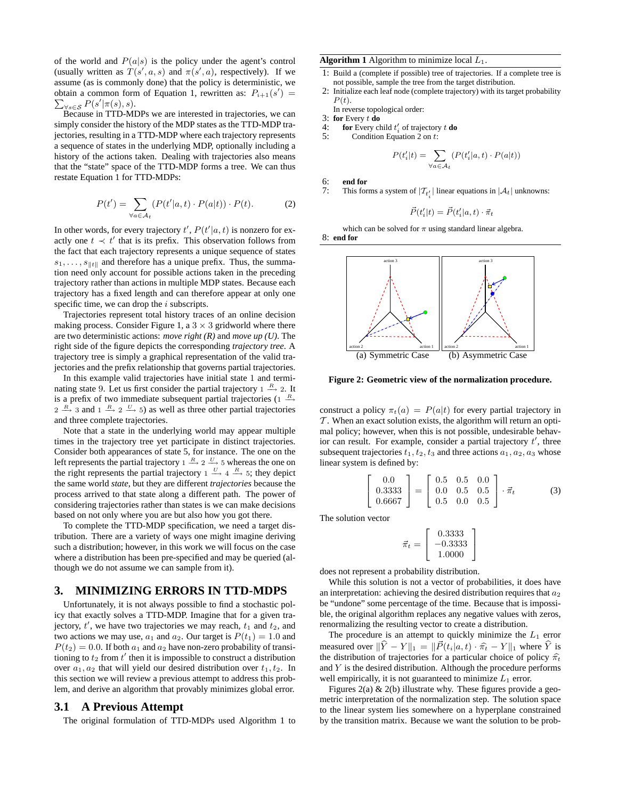of the world and  $P(a|s)$  is the policy under the agent's control (usually written as  $T(s', a, s)$  and  $\pi(s', a)$ , respectively). If we assume (as is commonly done) that the policy is deterministic, we obtain a common form of Equation 1, rewritten as:  $P_{i+1}(s') =$  $\sum_{\forall s \in \mathcal{S}} P(s'|\pi(s), s).$ 

Because in TTD-MDPs we are interested in trajectories, we can simply consider the history of the MDP states as the TTD-MDP trajectories, resulting in a TTD-MDP where each trajectory represents a sequence of states in the underlying MDP, optionally including a history of the actions taken. Dealing with trajectories also means that the "state" space of the TTD-MDP forms a tree. We can thus restate Equation 1 for TTD-MDPs:

$$
P(t') = \sum_{\forall a \in \mathcal{A}_t} (P(t'|a, t) \cdot P(a|t)) \cdot P(t). \tag{2}
$$

In other words, for every trajectory  $t'$ ,  $P(t'|a, t)$  is nonzero for exactly one  $t \prec t'$  that is its prefix. This observation follows from the fact that each trajectory represents a unique sequence of states  $s_1, \ldots, s_{\|\cdot\|}$  and therefore has a unique prefix. Thus, the summation need only account for possible actions taken in the preceding trajectory rather than actions in multiple MDP states. Because each trajectory has a fixed length and can therefore appear at only one specific time, we can drop the  $i$  subscripts.

Trajectories represent total history traces of an online decision making process. Consider Figure 1, a  $3 \times 3$  gridworld where there are two deterministic actions: *move right (R)* and *move up (U)*. The right side of the figure depicts the corresponding *trajectory tree*. A trajectory tree is simply a graphical representation of the valid trajectories and the prefix relationship that governs partial trajectories.

In this example valid trajectories have initial state 1 and terminating state 9. Let us first consider the partial trajectory  $1 \stackrel{R}{\longrightarrow} 2$ . It is a prefix of two immediate subsequent partial trajectories (1  $\stackrel{R}{\longrightarrow}$  $2 \stackrel{R}{\longrightarrow} 3$  and  $1 \stackrel{R}{\longrightarrow} 2 \stackrel{U}{\longrightarrow} 5$ ) as well as three other partial trajectories and three complete trajectories.

Note that a state in the underlying world may appear multiple times in the trajectory tree yet participate in distinct trajectories. Consider both appearances of state 5, for instance. The one on the left represents the partial trajectory  $1 \stackrel{R}{\longrightarrow} 2 \stackrel{U}{\longrightarrow} 5$  whereas the one on the right represents the partial trajectory  $1 \stackrel{U}{\longrightarrow} 4 \stackrel{R}{\longrightarrow} 5$ ; they depict the same world *state*, but they are different *trajectories* because the process arrived to that state along a different path. The power of considering trajectories rather than states is we can make decisions based on not only where you are but also how you got there.

To complete the TTD-MDP specification, we need a target distribution. There are a variety of ways one might imagine deriving such a distribution; however, in this work we will focus on the case where a distribution has been pre-specified and may be queried (although we do not assume we can sample from it).

### **3. MINIMIZING ERRORS IN TTD-MDPS**

Unfortunately, it is not always possible to find a stochastic policy that exactly solves a TTD-MDP. Imagine that for a given trajectory,  $t'$ , we have two trajectories we may reach,  $t_1$  and  $t_2$ , and two actions we may use,  $a_1$  and  $a_2$ . Our target is  $P(t_1) = 1.0$  and  $P(t_2) = 0.0$ . If both  $a_1$  and  $a_2$  have non-zero probability of transitioning to  $t_2$  from  $t'$  then it is impossible to construct a distribution over  $a_1, a_2$  that will yield our desired distribution over  $t_1, t_2$ . In this section we will review a previous attempt to address this problem, and derive an algorithm that provably minimizes global error.

### **3.1 A Previous Attempt**

The original formulation of TTD-MDPs used Algorithm 1 to

#### **Algorithm 1** Algorithm to minimize local  $L_1$ .

- 1: Build a (complete if possible) tree of trajectories. If a complete tree is not possible, sample the tree from the target distribution.
- 2: Initialize each leaf node (complete trajectory) with its target probability  $P(t)$ .
- In reverse topological order:
- 3: **for** Every  $t$  **do**<br>4: **for** Every cl
- 4: **for** Every child  $t'_i$  of trajectory  $t$  **do**
- 5: Condition Equation 2 on t:

$$
P(t'_i|t) = \sum_{\forall a \in \mathcal{A}_t} (P(t'_i|a, t) \cdot P(a|t))
$$

6: **end for**

7: This forms a system of  $|\mathcal{T}_{t'_i}|$  linear equations in  $|\mathcal{A}_t|$  unknowns:

$$
\vec{P}(t'_i|t) = \vec{P}(t'_i|a,t) \cdot \vec{\pi}_t
$$

which can be solved for  $\pi$  using standard linear algebra. 8: **end for**



**Figure 2: Geometric view of the normalization procedure.**

construct a policy  $\pi_t(a) = P(a|t)$  for every partial trajectory in  $\mathcal T$ . When an exact solution exists, the algorithm will return an optimal policy; however, when this is not possible, undesirable behavior can result. For example, consider a partial trajectory  $t'$ , three subsequent trajectories  $t_1, t_2, t_3$  and three actions  $a_1, a_2, a_3$  whose linear system is defined by:

$$
\begin{bmatrix} 0.0\\ 0.3333\\ 0.6667 \end{bmatrix} = \begin{bmatrix} 0.5 & 0.5 & 0.0\\ 0.0 & 0.5 & 0.5\\ 0.5 & 0.0 & 0.5 \end{bmatrix} \cdot \vec{\pi}_t \tag{3}
$$

The solution vector

$$
\vec{\pi}_t = \left[\begin{array}{c} 0.3333\\ -0.3333\\ 1.0000 \end{array}\right]
$$

does not represent a probability distribution.

While this solution is not a vector of probabilities, it does have an interpretation: achieving the desired distribution requires that  $a_2$ be "undone" some percentage of the time. Because that is impossible, the original algorithm replaces any negative values with zeros, renormalizing the resulting vector to create a distribution.

The procedure is an attempt to quickly minimize the  $L_1$  error measured over  $\|\widehat{Y} - Y\|_1 = \|\vec{P}(t_i|a, t) \cdot \widehat{\pi}_t - Y\|_1$  where  $\widehat{Y}$  is the distribution of trajectories for a particular choice of policy  $\hat{\pi}_t$ and  $Y$  is the desired distribution. Although the procedure performs well empirically, it is not guaranteed to minimize  $L_1$  error.

Figures 2(a)  $\&$  2(b) illustrate why. These figures provide a geometric interpretation of the normalization step. The solution space to the linear system lies somewhere on a hyperplane constrained by the transition matrix. Because we want the solution to be prob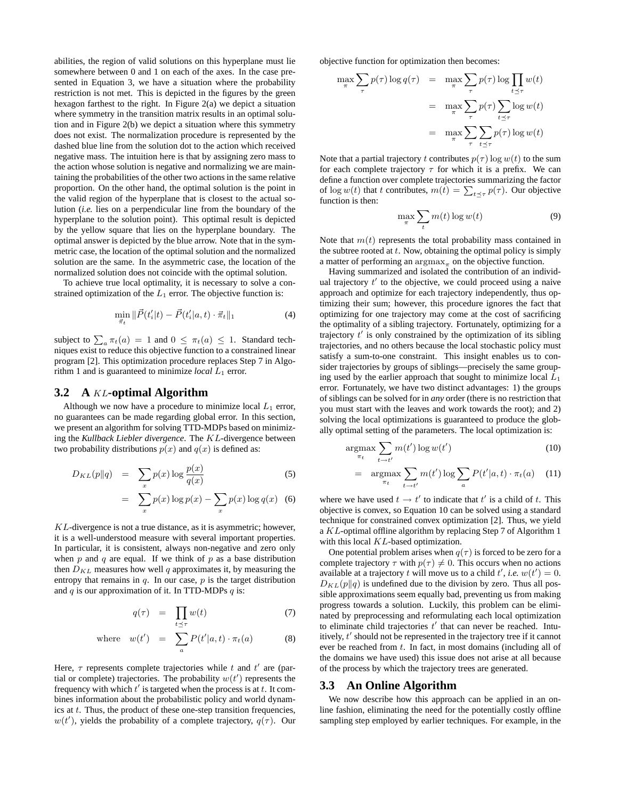abilities, the region of valid solutions on this hyperplane must lie somewhere between 0 and 1 on each of the axes. In the case presented in Equation 3, we have a situation where the probability restriction is not met. This is depicted in the figures by the green hexagon farthest to the right. In Figure 2(a) we depict a situation where symmetry in the transition matrix results in an optimal solution and in Figure 2(b) we depict a situation where this symmetry does not exist. The normalization procedure is represented by the dashed blue line from the solution dot to the action which received negative mass. The intuition here is that by assigning zero mass to the action whose solution is negative and normalizing we are maintaining the probabilities of the other two actions in the same relative proportion. On the other hand, the optimal solution is the point in the valid region of the hyperplane that is closest to the actual solution (*i.e.* lies on a perpendicular line from the boundary of the hyperplane to the solution point). This optimal result is depicted by the yellow square that lies on the hyperplane boundary. The optimal answer is depicted by the blue arrow. Note that in the symmetric case, the location of the optimal solution and the normalized solution are the same. In the asymmetric case, the location of the normalized solution does not coincide with the optimal solution.

To achieve true local optimality, it is necessary to solve a constrained optimization of the  $L_1$  error. The objective function is:

$$
\min_{\vec{\pi}_t} \|\vec{P}(t_i'|t) - \vec{P}(t_i'|a, t) \cdot \vec{\pi}_t\|_1 \tag{4}
$$

subject to  $\sum_a \pi_t(a) = 1$  and  $0 \leq \pi_t(a) \leq 1$ . Standard techniques exist to reduce this objective function to a constrained linear program [2]. This optimization procedure replaces Step 7 in Algorithm 1 and is guaranteed to minimize *local*  $L_1$  error.

### **3.2 A** KL**-optimal Algorithm**

Although we now have a procedure to minimize local  $L_1$  error, no guarantees can be made regarding global error. In this section, we present an algorithm for solving TTD-MDPs based on minimizing the *Kullback Liebler divergence*. The KL-divergence between two probability distributions  $p(x)$  and  $q(x)$  is defined as:

$$
D_{KL}(p||q) = \sum_{x} p(x) \log \frac{p(x)}{q(x)}
$$
(5)

$$
= \sum_{x} p(x) \log p(x) - \sum_{x} p(x) \log q(x) \quad (6)
$$

KL-divergence is not a true distance, as it is asymmetric; however, it is a well-understood measure with several important properties. In particular, it is consistent, always non-negative and zero only when  $p$  and  $q$  are equal. If we think of  $p$  as a base distribution then  $D_{KL}$  measures how well q approximates it, by measuring the entropy that remains in  $q$ . In our case,  $p$  is the target distribution and  $q$  is our approximation of it. In TTD-MDPs  $q$  is:

$$
q(\tau) = \prod_{t \preceq \tau} w(t) \tag{7}
$$

where 
$$
w(t') = \sum_{a} P(t'|a, t) \cdot \pi_t(a)
$$
 (8)

Here,  $\tau$  represents complete trajectories while t and t' are (partial or complete) trajectories. The probability  $w(t')$  represents the frequency with which  $t'$  is targeted when the process is at  $t$ . It combines information about the probabilistic policy and world dynamics at  $t$ . Thus, the product of these one-step transition frequencies,  $w(t')$ , yields the probability of a complete trajectory,  $q(\tau)$ . Our

objective function for optimization then becomes:

 $\overline{m}$ 

$$
\max_{\pi} \sum_{\tau} p(\tau) \log q(\tau) = \max_{\pi} \sum_{\tau} p(\tau) \log \prod_{t \leq \tau} w(t)
$$

$$
= \max_{\pi} \sum_{\tau} p(\tau) \sum_{t \leq \tau} \log w(t)
$$

$$
= \max_{\pi} \sum_{\tau} \sum_{t \leq \tau} p(\tau) \log w(t)
$$

Note that a partial trajectory t contributes  $p(\tau) \log w(t)$  to the sum for each complete trajectory  $\tau$  for which it is a prefix. We can define a function over complete trajectories summarizing the factor of  $\log w(t)$  that t contributes,  $m(t) = \sum_{t \leq \tau} p(\tau)$ . Our objective function is then:

$$
\max_{\pi} \sum_{t} m(t) \log w(t) \tag{9}
$$

Note that  $m(t)$  represents the total probability mass contained in the subtree rooted at  $t$ . Now, obtaining the optimal policy is simply a matter of performing an  $\argmax_{\pi}$  on the objective function.

Having summarized and isolated the contribution of an individual trajectory  $t'$  to the objective, we could proceed using a naive approach and optimize for each trajectory independently, thus optimizing their sum; however, this procedure ignores the fact that optimizing for one trajectory may come at the cost of sacrificing the optimality of a sibling trajectory. Fortunately, optimizing for a trajectory  $t'$  is only constrained by the optimization of its sibling trajectories, and no others because the local stochastic policy must satisfy a sum-to-one constraint. This insight enables us to consider trajectories by groups of siblings—precisely the same grouping used by the earlier approach that sought to minimize local  $L_1$ error. Fortunately, we have two distinct advantages: 1) the groups of siblings can be solved for in *any* order (there is no restriction that you must start with the leaves and work towards the root); and 2) solving the local optimizations is guaranteed to produce the globally optimal setting of the parameters. The local optimization is:

$$
\underset{\pi_t}{\operatorname{argmax}} \sum_{t \to t'} m(t') \log w(t')
$$
 (10)

$$
= \underset{\pi_t}{\operatorname{argmax}} \sum_{t \to t'} m(t') \log \sum_a P(t'|a, t) \cdot \pi_t(a) \quad (11)
$$

where we have used  $t \to t'$  to indicate that  $t'$  is a child of t. This objective is convex, so Equation 10 can be solved using a standard technique for constrained convex optimization [2]. Thus, we yield a KL-optimal offline algorithm by replacing Step 7 of Algorithm 1 with this local KL-based optimization.

One potential problem arises when  $q(\tau)$  is forced to be zero for a complete trajectory  $\tau$  with  $p(\tau) \neq 0$ . This occurs when no actions available at a trajectory t will move us to a child  $t'$ , *i.e.*  $w(t') = 0$ .  $D_{KL}(p||q)$  is undefined due to the division by zero. Thus all possible approximations seem equally bad, preventing us from making progress towards a solution. Luckily, this problem can be eliminated by preprocessing and reformulating each local optimization to eliminate child trajectories  $t'$  that can never be reached. Intuitively,  $t'$  should not be represented in the trajectory tree if it cannot ever be reached from t. In fact, in most domains (including all of the domains we have used) this issue does not arise at all because of the process by which the trajectory trees are generated.

# **3.3 An Online Algorithm**

We now describe how this approach can be applied in an online fashion, eliminating the need for the potentially costly offline sampling step employed by earlier techniques. For example, in the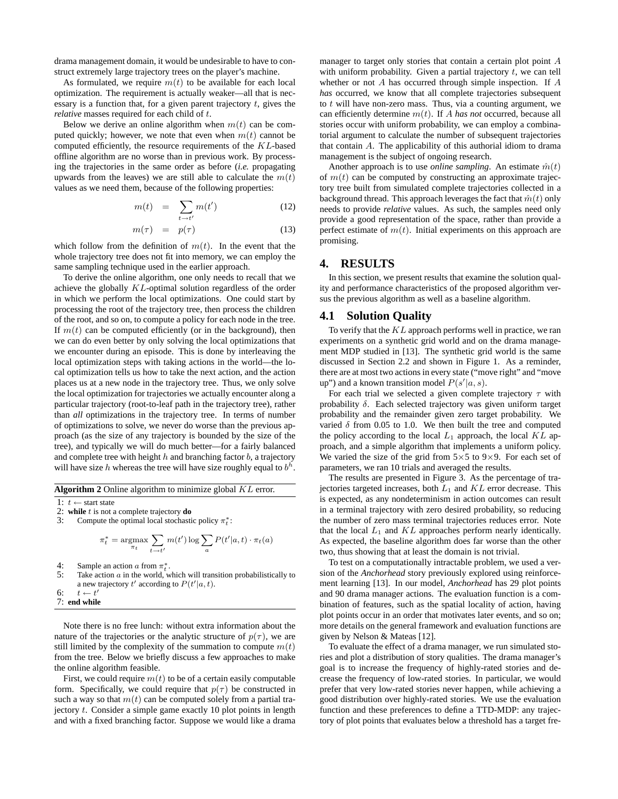drama management domain, it would be undesirable to have to construct extremely large trajectory trees on the player's machine.

As formulated, we require  $m(t)$  to be available for each local optimization. The requirement is actually weaker—all that is necessary is a function that, for a given parent trajectory  $t$ , gives the *relative* masses required for each child of t.

Below we derive an online algorithm when  $m(t)$  can be computed quickly; however, we note that even when  $m(t)$  cannot be computed efficiently, the resource requirements of the KL-based offline algorithm are no worse than in previous work. By processing the trajectories in the same order as before (*i.e.* propagating upwards from the leaves) we are still able to calculate the  $m(t)$ values as we need them, because of the following properties:

$$
m(t) = \sum_{t \to t'} m(t') \tag{12}
$$

$$
m(\tau) = p(\tau) \tag{13}
$$

which follow from the definition of  $m(t)$ . In the event that the whole trajectory tree does not fit into memory, we can employ the same sampling technique used in the earlier approach.

To derive the online algorithm, one only needs to recall that we achieve the globally KL-optimal solution regardless of the order in which we perform the local optimizations. One could start by processing the root of the trajectory tree, then process the children of the root, and so on, to compute a policy for each node in the tree. If  $m(t)$  can be computed efficiently (or in the background), then we can do even better by only solving the local optimizations that we encounter during an episode. This is done by interleaving the local optimization steps with taking actions in the world—the local optimization tells us how to take the next action, and the action places us at a new node in the trajectory tree. Thus, we only solve the local optimization for trajectories we actually encounter along a particular trajectory (root-to-leaf path in the trajectory tree), rather than *all* optimizations in the trajectory tree. In terms of number of optimizations to solve, we never do worse than the previous approach (as the size of any trajectory is bounded by the size of the tree), and typically we will do much better—for a fairly balanced and complete tree with height  $h$  and branching factor  $b$ , a trajectory will have size h whereas the tree will have size roughly equal to  $b^h$ .

**Algorithm 2** Online algorithm to minimize global KL error.

1:  $t$  ← start state

2: **while**  $t$  is not a complete trajectory **do**<br>3: Compute the optimal local stochasti

3: Compute the optimal local stochastic policy  $\pi_t^*$ :

$$
\pi_t^* = \underset{\pi_t}{\operatorname{argmax}} \sum_{t \to t'} m(t') \log \sum_a P(t'|a, t) \cdot \pi_t(a)
$$

4: Sample an action a from  $\pi_t^*$ .

- 5: Take action  $\alpha$  in the world, which will transition probabilistically to a new trajectory  $t'$  according to  $P(t'|a, t)$ .
- 6:  $t \leftarrow t'$

7: **end while**

Note there is no free lunch: without extra information about the nature of the trajectories or the analytic structure of  $p(\tau)$ , we are still limited by the complexity of the summation to compute  $m(t)$ from the tree. Below we briefly discuss a few approaches to make the online algorithm feasible.

First, we could require  $m(t)$  to be of a certain easily computable form. Specifically, we could require that  $p(\tau)$  be constructed in such a way so that  $m(t)$  can be computed solely from a partial trajectory t. Consider a simple game exactly 10 plot points in length and with a fixed branching factor. Suppose we would like a drama manager to target only stories that contain a certain plot point A with uniform probability. Given a partial trajectory  $t$ , we can tell whether or not A has occurred through simple inspection. If A *has* occurred, we know that all complete trajectories subsequent to  $t$  will have non-zero mass. Thus, via a counting argument, we can efficiently determine m(t). If A *has not* occurred, because all stories occur with uniform probability, we can employ a combinatorial argument to calculate the number of subsequent trajectories that contain A. The applicability of this authorial idiom to drama management is the subject of ongoing research.

Another approach is to use *online sampling*. An estimate  $\hat{m}(t)$ of  $m(t)$  can be computed by constructing an approximate trajectory tree built from simulated complete trajectories collected in a background thread. This approach leverages the fact that  $\hat{m}(t)$  only needs to provide *relative* values. As such, the samples need only provide a good representation of the space, rather than provide a perfect estimate of  $m(t)$ . Initial experiments on this approach are promising.

### **4. RESULTS**

In this section, we present results that examine the solution quality and performance characteristics of the proposed algorithm versus the previous algorithm as well as a baseline algorithm.

### **4.1 Solution Quality**

To verify that the  $KL$  approach performs well in practice, we ran experiments on a synthetic grid world and on the drama management MDP studied in [13]. The synthetic grid world is the same discussed in Section 2.2 and shown in Figure 1. As a reminder, there are at most two actions in every state ("move right" and "move up") and a known transition model  $P(s'|a, s)$ .

For each trial we selected a given complete trajectory  $\tau$  with probability δ. Each selected trajectory was given uniform target probability and the remainder given zero target probability. We varied  $\delta$  from 0.05 to 1.0. We then built the tree and computed the policy according to the local  $L_1$  approach, the local  $KL$  approach, and a simple algorithm that implements a uniform policy. We varied the size of the grid from  $5 \times 5$  to 9 $\times$ 9. For each set of parameters, we ran 10 trials and averaged the results.

The results are presented in Figure 3. As the percentage of trajectories targeted increases, both  $L_1$  and  $KL$  error decrease. This is expected, as any nondeterminism in action outcomes can result in a terminal trajectory with zero desired probability, so reducing the number of zero mass terminal trajectories reduces error. Note that the local  $L_1$  and  $KL$  approaches perform nearly identically. As expected, the baseline algorithm does far worse than the other two, thus showing that at least the domain is not trivial.

To test on a computationally intractable problem, we used a version of the *Anchorhead* story previously explored using reinforcement learning [13]. In our model, *Anchorhead* has 29 plot points and 90 drama manager actions. The evaluation function is a combination of features, such as the spatial locality of action, having plot points occur in an order that motivates later events, and so on; more details on the general framework and evaluation functions are given by Nelson & Mateas [12].

To evaluate the effect of a drama manager, we run simulated stories and plot a distribution of story qualities. The drama manager's goal is to increase the frequency of highly-rated stories and decrease the frequency of low-rated stories. In particular, we would prefer that very low-rated stories never happen, while achieving a good distribution over highly-rated stories. We use the evaluation function and these preferences to define a TTD-MDP: any trajectory of plot points that evaluates below a threshold has a target fre-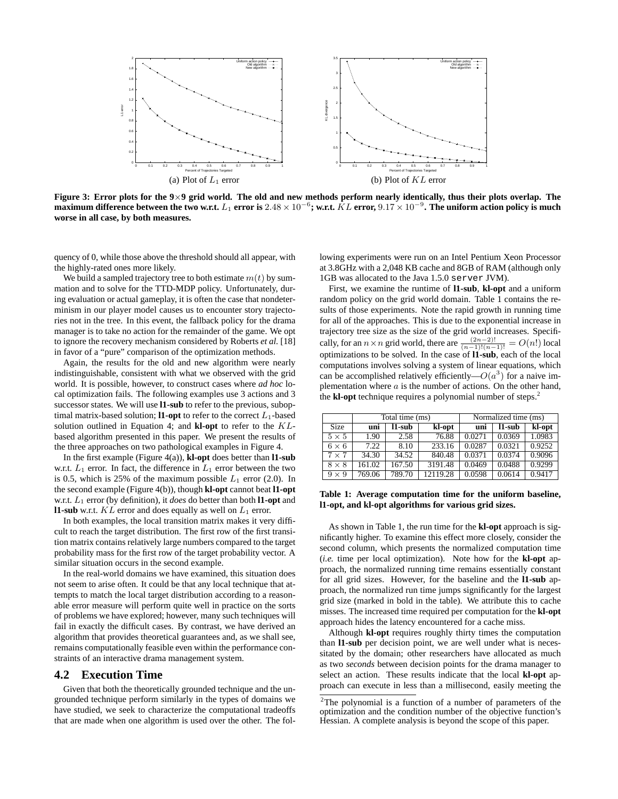

**Figure 3: Error plots for the 9**×**9 grid world. The old and new methods perform nearly identically, thus their plots overlap. The maximum difference between the two w.r.t.** L<sup>1</sup> **error is** 2.48 × 10<sup>−</sup><sup>6</sup> **; w.r.t.** KL **error,** 9.17 × 10<sup>−</sup><sup>9</sup> **. The uniform action policy is much worse in all case, by both measures.**

quency of 0, while those above the threshold should all appear, with the highly-rated ones more likely.

We build a sampled trajectory tree to both estimate  $m(t)$  by summation and to solve for the TTD-MDP policy. Unfortunately, during evaluation or actual gameplay, it is often the case that nondeterminism in our player model causes us to encounter story trajectories not in the tree. In this event, the fallback policy for the drama manager is to take no action for the remainder of the game. We opt to ignore the recovery mechanism considered by Roberts *et al.* [18] in favor of a "pure" comparison of the optimization methods.

Again, the results for the old and new algorithm were nearly indistinguishable, consistent with what we observed with the grid world. It is possible, however, to construct cases where *ad hoc* local optimization fails. The following examples use 3 actions and 3 successor states. We will use **l1-sub** to refer to the previous, suboptimal matrix-based solution; **l1-opt** to refer to the correct  $L_1$ -based solution outlined in Equation 4; and **kl-opt** to refer to the KLbased algorithm presented in this paper. We present the results of the three approaches on two pathological examples in Figure 4.

In the first example (Figure 4(a)), **kl-opt** does better than **l1-sub** w.r.t.  $L_1$  error. In fact, the difference in  $L_1$  error between the two is 0.5, which is 25% of the maximum possible  $L_1$  error (2.0). In the second example (Figure 4(b)), though **kl-opt** cannot beat **l1-opt** w.r.t. L<sup>1</sup> error (by definition), it *does* do better than both **l1-opt** and **l1-sub** w.r.t.  $KL$  error and does equally as well on  $L_1$  error.

In both examples, the local transition matrix makes it very difficult to reach the target distribution. The first row of the first transition matrix contains relatively large numbers compared to the target probability mass for the first row of the target probability vector. A similar situation occurs in the second example.

In the real-world domains we have examined, this situation does not seem to arise often. It could be that any local technique that attempts to match the local target distribution according to a reasonable error measure will perform quite well in practice on the sorts of problems we have explored; however, many such techniques will fail in exactly the difficult cases. By contrast, we have derived an algorithm that provides theoretical guarantees and, as we shall see, remains computationally feasible even within the performance constraints of an interactive drama management system.

### **4.2 Execution Time**

Given that both the theoretically grounded technique and the ungrounded technique perform similarly in the types of domains we have studied, we seek to characterize the computational tradeoffs that are made when one algorithm is used over the other. The following experiments were run on an Intel Pentium Xeon Processor at 3.8GHz with a 2,048 KB cache and 8GB of RAM (although only 1GB was allocated to the Java 1.5.0 server JVM).

First, we examine the runtime of **l1-sub**, **kl-opt** and a uniform random policy on the grid world domain. Table 1 contains the results of those experiments. Note the rapid growth in running time for all of the approaches. This is due to the exponential increase in trajectory tree size as the size of the grid world increases. Specifically, for an  $n \times n$  grid world, there are  $\frac{(2n-2)!}{(n-1)!(n-1)!} = O(n!)$  local optimizations to be solved. In the case of **l1-sub**, each of the local computations involves solving a system of linear equations, which can be accomplished relatively efficiently— $O(a^3)$  for a naive implementation where  $a$  is the number of actions. On the other hand, the **kl-opt** technique requires a polynomial number of steps.<sup>2</sup>

|              | Total time (ms) |        |          | Normalized time (ms) |        |        |
|--------------|-----------------|--------|----------|----------------------|--------|--------|
| <b>Size</b>  | uni             | l1-sub | kl-opt   | uni                  | 11-sub | kl-opt |
| $5 \times 5$ | 1.90            | 2.58   | 76.88    | 0.0271               | 0.0369 | 1.0983 |
| $6 \times 6$ | 7.22            | 8.10   | 233.16   | 0.0287               | 0.0321 | 0.9252 |
| $7 \times 7$ | 34.30           | 34.52  | 840.48   | 0.0371               | 0.0374 | 0.9096 |
| $8 \times 8$ | 161.02          | 167.50 | 3191.48  | 0.0469               | 0.0488 | 0.9299 |
| $9 \times 9$ | 769.06          | 789.70 | 12119.28 | 0.0598               | 0.0614 | 0.9417 |

**Table 1: Average computation time for the uniform baseline, l1-opt, and kl-opt algorithms for various grid sizes.**

As shown in Table 1, the run time for the **kl-opt** approach is significantly higher. To examine this effect more closely, consider the second column, which presents the normalized computation time (*i.e.* time per local optimization). Note how for the **kl-opt** approach, the normalized running time remains essentially constant for all grid sizes. However, for the baseline and the **l1-sub** approach, the normalized run time jumps significantly for the largest grid size (marked in bold in the table). We attribute this to cache misses. The increased time required per computation for the **kl-opt** approach hides the latency encountered for a cache miss.

Although **kl-opt** requires roughly thirty times the computation than **l1-sub** per decision point, we are well under what is necessitated by the domain; other researchers have allocated as much as two *seconds* between decision points for the drama manager to select an action. These results indicate that the local **kl-opt** approach can execute in less than a millisecond, easily meeting the

 $2$ The polynomial is a function of a number of parameters of the optimization and the condition number of the objective function's Hessian. A complete analysis is beyond the scope of this paper.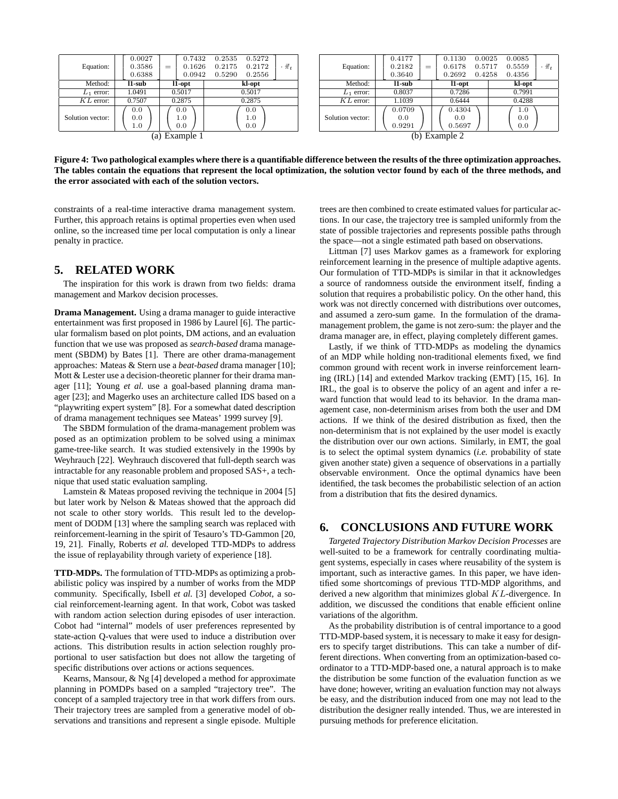

**Figure 4: Two pathological examples where there is a quantifiable difference between the results of the three optimization approaches. The tables contain the equations that represent the local optimization, the solution vector found by each of the three methods, and the error associated with each of the solution vectors.**

constraints of a real-time interactive drama management system. Further, this approach retains is optimal properties even when used online, so the increased time per local computation is only a linear penalty in practice.

# **5. RELATED WORK**

The inspiration for this work is drawn from two fields: drama management and Markov decision processes.

**Drama Management.** Using a drama manager to guide interactive entertainment was first proposed in 1986 by Laurel [6]. The particular formalism based on plot points, DM actions, and an evaluation function that we use was proposed as *search-based* drama management (SBDM) by Bates [1]. There are other drama-management approaches: Mateas & Stern use a *beat-based* drama manager [10]; Mott & Lester use a decision-theoretic planner for their drama manager [11]; Young *et al.* use a goal-based planning drama manager [23]; and Magerko uses an architecture called IDS based on a "playwriting expert system" [8]. For a somewhat dated description of drama management techniques see Mateas' 1999 survey [9].

The SBDM formulation of the drama-management problem was posed as an optimization problem to be solved using a minimax game-tree-like search. It was studied extensively in the 1990s by Weyhrauch [22]. Weyhrauch discovered that full-depth search was intractable for any reasonable problem and proposed SAS+, a technique that used static evaluation sampling.

Lamstein & Mateas proposed reviving the technique in 2004 [5] but later work by Nelson & Mateas showed that the approach did not scale to other story worlds. This result led to the development of DODM [13] where the sampling search was replaced with reinforcement-learning in the spirit of Tesauro's TD-Gammon [20, 19, 21]. Finally, Roberts *et al.* developed TTD-MDPs to address the issue of replayability through variety of experience [18].

**TTD-MDPs.** The formulation of TTD-MDPs as optimizing a probabilistic policy was inspired by a number of works from the MDP community. Specifically, Isbell *et al.* [3] developed *Cobot*, a social reinforcement-learning agent. In that work, Cobot was tasked with random action selection during episodes of user interaction. Cobot had "internal" models of user preferences represented by state-action Q-values that were used to induce a distribution over actions. This distribution results in action selection roughly proportional to user satisfaction but does not allow the targeting of specific distributions over actions or actions sequences.

Kearns, Mansour, & Ng [4] developed a method for approximate planning in POMDPs based on a sampled "trajectory tree". The concept of a sampled trajectory tree in that work differs from ours. Their trajectory trees are sampled from a generative model of observations and transitions and represent a single episode. Multiple trees are then combined to create estimated values for particular actions. In our case, the trajectory tree is sampled uniformly from the state of possible trajectories and represents possible paths through the space—not a single estimated path based on observations.

Littman [7] uses Markov games as a framework for exploring reinforcement learning in the presence of multiple adaptive agents. Our formulation of TTD-MDPs is similar in that it acknowledges a source of randomness outside the environment itself, finding a solution that requires a probabilistic policy. On the other hand, this work was not directly concerned with distributions over outcomes, and assumed a zero-sum game. In the formulation of the dramamanagement problem, the game is not zero-sum: the player and the drama manager are, in effect, playing completely different games.

Lastly, if we think of TTD-MDPs as modeling the dynamics of an MDP while holding non-traditional elements fixed, we find common ground with recent work in inverse reinforcement learning (IRL) [14] and extended Markov tracking (EMT) [15, 16]. In IRL, the goal is to observe the policy of an agent and infer a reward function that would lead to its behavior. In the drama management case, non-determinism arises from both the user and DM actions. If we think of the desired distribution as fixed, then the non-determinism that is not explained by the user model is exactly the distribution over our own actions. Similarly, in EMT, the goal is to select the optimal system dynamics (*i.e.* probability of state given another state) given a sequence of observations in a partially observable environment. Once the optimal dynamics have been identified, the task becomes the probabilistic selection of an action from a distribution that fits the desired dynamics.

# **6. CONCLUSIONS AND FUTURE WORK**

*Targeted Trajectory Distribution Markov Decision Processes* are well-suited to be a framework for centrally coordinating multiagent systems, especially in cases where reusability of the system is important, such as interactive games. In this paper, we have identified some shortcomings of previous TTD-MDP algorithms, and derived a new algorithm that minimizes global KL-divergence. In addition, we discussed the conditions that enable efficient online variations of the algorithm.

As the probability distribution is of central importance to a good TTD-MDP-based system, it is necessary to make it easy for designers to specify target distributions. This can take a number of different directions. When converting from an optimization-based coordinator to a TTD-MDP-based one, a natural approach is to make the distribution be some function of the evaluation function as we have done; however, writing an evaluation function may not always be easy, and the distribution induced from one may not lead to the distribution the designer really intended. Thus, we are interested in pursuing methods for preference elicitation.